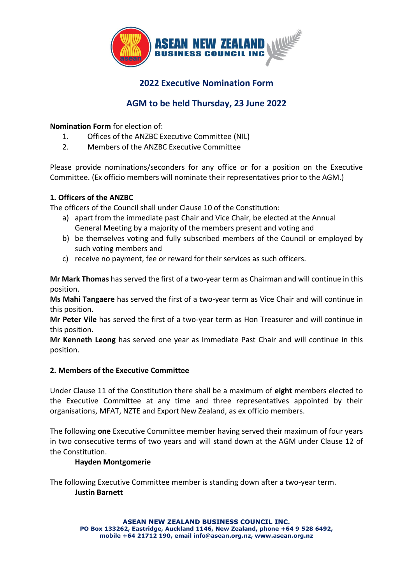

## **2022 Executive Nomination Form**

# **AGM to be held Thursday, 23 June 2022**

## **Nomination Form** for election of:

- 1. Offices of the ANZBC Executive Committee (NIL)
- 2. Members of the ANZBC Executive Committee

Please provide nominations/seconders for any office or for a position on the Executive Committee. (Ex officio members will nominate their representatives prior to the AGM.)

### **1. Officers of the ANZBC**

The officers of the Council shall under Clause 10 of the Constitution:

- a) apart from the immediate past Chair and Vice Chair, be elected at the Annual General Meeting by a majority of the members present and voting and
- b) be themselves voting and fully subscribed members of the Council or employed by such voting members and
- c) receive no payment, fee or reward for their services as such officers.

**Mr Mark Thomas** has served the first of a two-year term as Chairman and will continue in this position.

**Ms Mahi Tangaere** has served the first of a two-year term as Vice Chair and will continue in this position.

**Mr Peter Vile** has served the first of a two-year term as Hon Treasurer and will continue in this position.

**Mr Kenneth Leong** has served one year as Immediate Past Chair and will continue in this position.

#### **2. Members of the Executive Committee**

Under Clause 11 of the Constitution there shall be a maximum of **eight** members elected to the Executive Committee at any time and three representatives appointed by their organisations, MFAT, NZTE and Export New Zealand, as ex officio members.

The following **one** Executive Committee member having served their maximum of four years in two consecutive terms of two years and will stand down at the AGM under Clause 12 of the Constitution.

## **Hayden Montgomerie**

The following Executive Committee member is standing down after a two-year term. **Justin Barnett**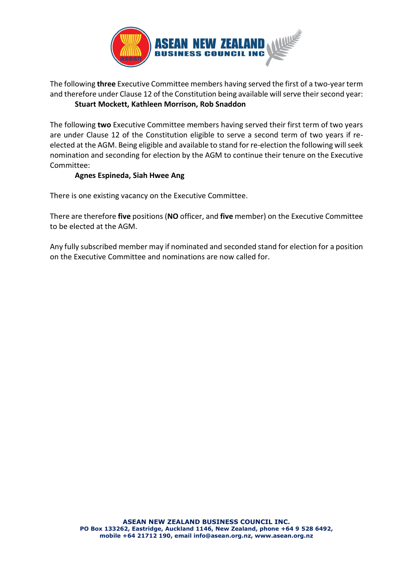

## The following **three** Executive Committee members having served the first of a two-year term and therefore under Clause 12 of the Constitution being available will serve their second year: **Stuart Mockett, Kathleen Morrison, Rob Snaddon**

The following **two** Executive Committee members having served their first term of two years are under Clause 12 of the Constitution eligible to serve a second term of two years if reelected at the AGM. Being eligible and available to stand for re-election the following will seek nomination and seconding for election by the AGM to continue their tenure on the Executive Committee:

## **Agnes Espineda, Siah Hwee Ang**

There is one existing vacancy on the Executive Committee.

There are therefore **five** positions (**NO** officer, and **five** member) on the Executive Committee to be elected at the AGM.

Any fully subscribed member may if nominated and seconded stand for election for a position on the Executive Committee and nominations are now called for.